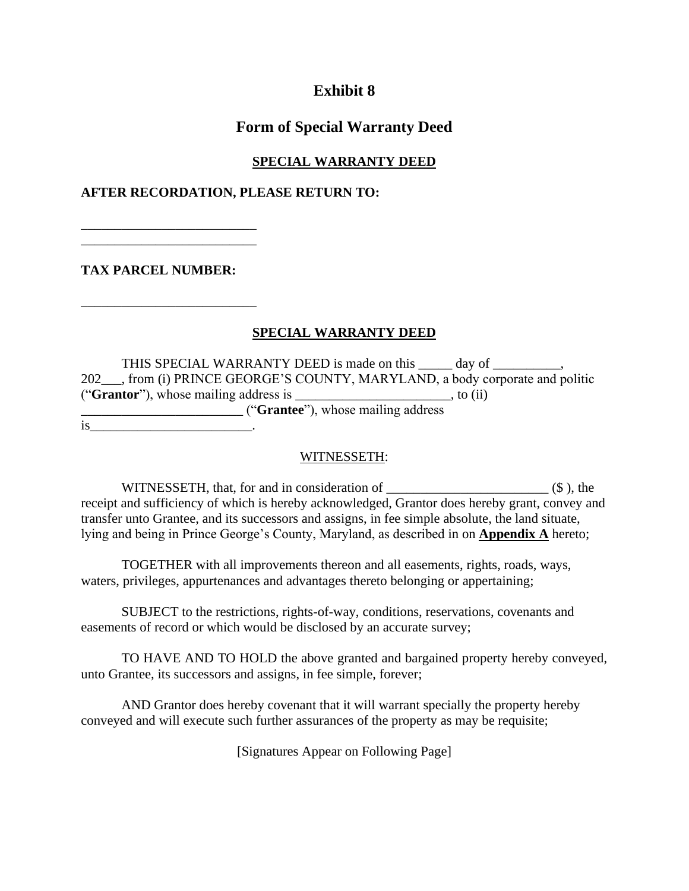# **Exhibit 8**

## **Form of Special Warranty Deed**

## **SPECIAL WARRANTY DEED**

#### **AFTER RECORDATION, PLEASE RETURN TO:**

**TAX PARCEL NUMBER:** 

\_\_\_\_\_\_\_\_\_\_\_\_\_\_\_\_\_\_\_\_\_\_\_\_\_\_ \_\_\_\_\_\_\_\_\_\_\_\_\_\_\_\_\_\_\_\_\_\_\_\_\_\_

\_\_\_\_\_\_\_\_\_\_\_\_\_\_\_\_\_\_\_\_\_\_\_\_\_\_

### **SPECIAL WARRANTY DEED**

THIS SPECIAL WARRANTY DEED is made on this \_\_\_\_\_ day of \_\_\_\_\_\_\_\_\_, 202 . from (i) PRINCE GEORGE'S COUNTY, MARYLAND, a body corporate and politic ("**Grantor**"), whose mailing address is \_\_\_\_\_\_\_\_\_\_\_\_\_\_\_\_\_\_\_\_\_\_\_, to (ii) \_\_\_\_\_\_\_\_\_\_\_\_\_\_\_\_\_\_\_\_\_\_\_\_ ("**Grantee**"), whose mailing address  $is$   $\qquad \qquad \cdot$ 

#### WITNESSETH:

WITNESSETH, that, for and in consideration of \_\_\_\_\_\_\_\_\_\_\_\_\_\_\_\_\_\_\_\_\_\_\_\_ (\$ ), the receipt and sufficiency of which is hereby acknowledged, Grantor does hereby grant, convey and transfer unto Grantee, and its successors and assigns, in fee simple absolute, the land situate, lying and being in Prince George's County, Maryland, as described in on **Appendix A** hereto;

TOGETHER with all improvements thereon and all easements, rights, roads, ways, waters, privileges, appurtenances and advantages thereto belonging or appertaining;

SUBJECT to the restrictions, rights-of-way, conditions, reservations, covenants and easements of record or which would be disclosed by an accurate survey;

TO HAVE AND TO HOLD the above granted and bargained property hereby conveyed, unto Grantee, its successors and assigns, in fee simple, forever;

AND Grantor does hereby covenant that it will warrant specially the property hereby conveyed and will execute such further assurances of the property as may be requisite;

[Signatures Appear on Following Page]